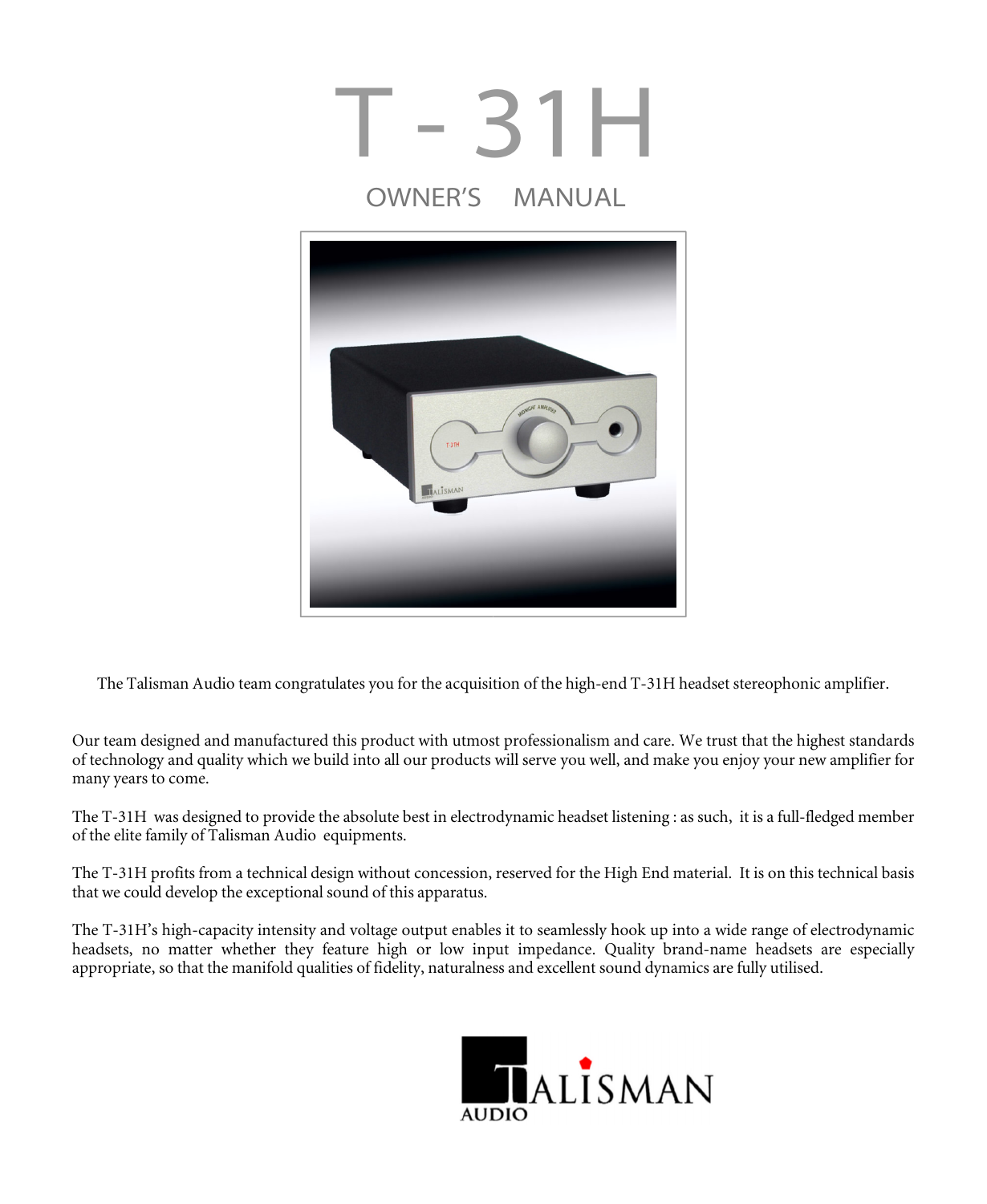

The Talisman Audio team congratulates you for the acquisition of the high-end T-31H headset stereophonic amplifier.

Our team designed and manufactured this product with utmost professionalism and care. We trust that the highest standards of technology and quality which we build into all our products will serve you well, and make you enjoy your new amplifier for many years to come.

The T-31H was designed to provide the absolute best in electrodynamic headset listening : as such, it is a full-fledged member of the elite family of Talisman Audio equipments.

The T-31H profits from a technical design without concession, reserved for the High End material. It is on this technical basis that we could develop the exceptional sound of this apparatus.

The T-31H's high-capacity intensity and voltage output enables it to seamlessly hook up into a wide range of electrodynamic headsets, no matter whether they feature high or low input impedance. Quality brand-name headsets are especially appropriate, so that the manifold qualities of fidelity, naturalness and excellent sound dynamics are fully utilised.

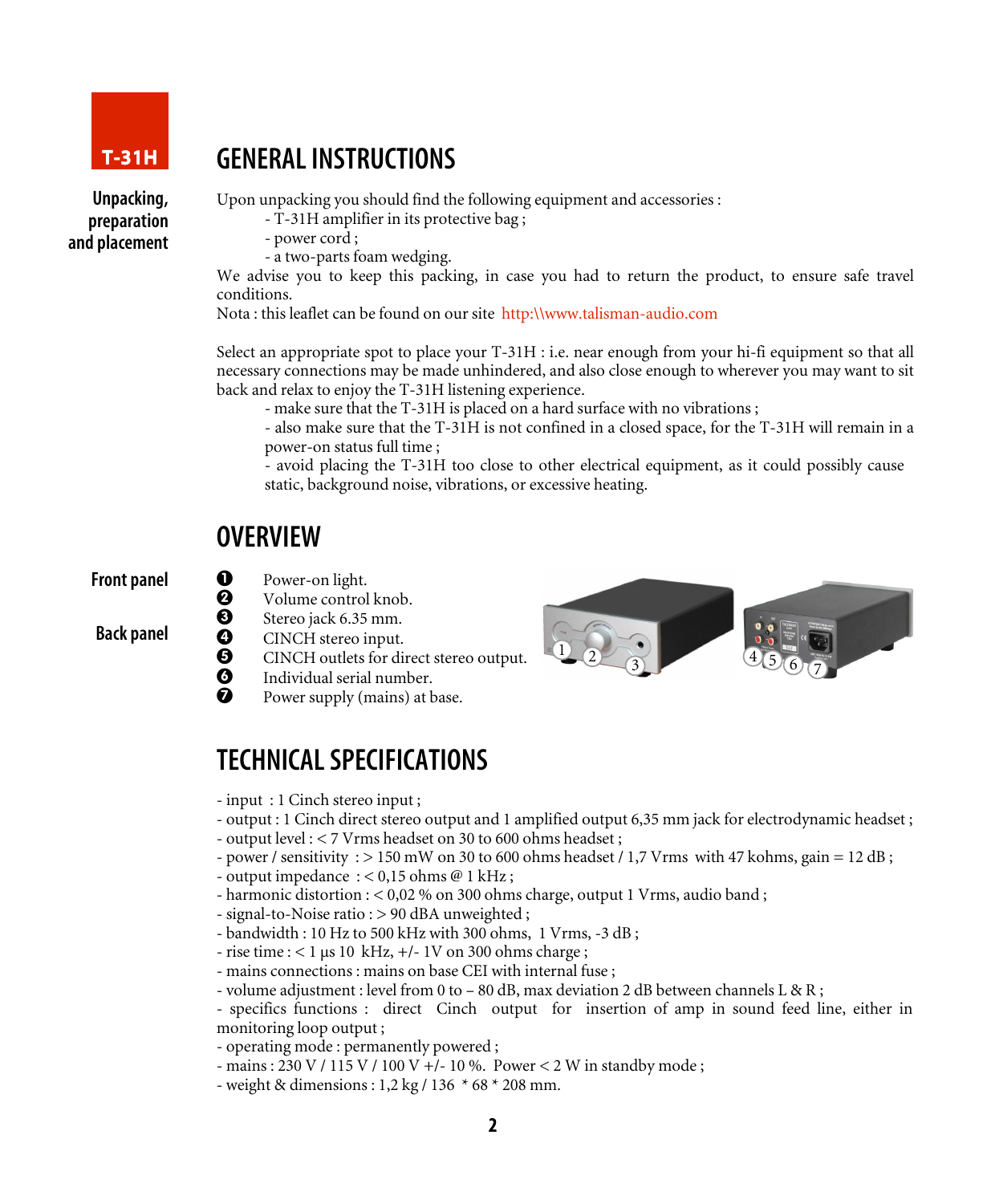

Unpacking, preparation and placement

### GENERALINSTRUCTIONS

Upon unpacking you should find the following equipment and accessories :

- T-31H amplifier in its protective bag ;

- power cord ;

- a two-parts foam wedging.

We advise you to keep this packing, in case you had to return the product, to ensure safe travel conditions.

Nota : this leaflet can be found on our site http:\\www.talisman-audio.com

Select an appropriate spot to place your T-31H : i.e. near enough from your hi-fi equipment so that all necessary connections may be made unhindered, and also close enough to wherever you may want to sit back and relax to enjoy the T-31H listening experience.

- make sure that the T-31H is placed on a hard surface with no vibrations ;

- also make sure that the T-31H is not confined in a closed space, for the T-31H will remain in a power-on status full time ;

- avoid placing the T-31H too close to other electrical equipment, as it could possibly cause static, background noise, vibrations, or excessive heating.

#### **OVERVIEW**

Front panel

Back panel

- **Q** Power-on light.
	- Volume control knob.
	- Stereo jack 6.35 mm.
- 0<br>0<br>0<br>0<br>0 CINCH stereo input.
- **O** CINCH outlets for direct stereo output.<br> **O** Individual serial number.
- Individual serial number.
- Power supply (mains) at base.



### TECHNICALSPECIFICATIONS

- input : 1 Cinch stereo input ;

- output : 1 Cinch direct stereo output and 1 amplified output 6,35 mm jack for electrodynamic headset ;
- output level : < 7 Vrms headset on 30 to 600 ohms headset ;
- power / sensitivity :  $> 150$  mW on 30 to 600 ohms headset / 1,7 Vrms with 47 kohms, gain = 12 dB;
- output impedance  $: < 0.15$  ohms @ 1 kHz;
- harmonic distortion : < 0,02 % on 300 ohms charge, output 1 Vrms, audio band ;
- signal-to-Noise ratio : > 90 dBA unweighted ;
- bandwidth : 10 Hz to 500 kHz with 300 ohms, 1 Vrms, -3 dB ;
- $-$  rise time :  $< 1 \mu s$  10 kHz,  $+/- 1V$  on 300 ohms charge ;
- mains connections : mains on base CEI with internal fuse ;
- volume adjustment : level from 0 to 80 dB, max deviation 2 dB between channels L & R;

- specifics functions : direct Cinch output for insertion of amp in sound feed line, either in monitoring loop output ;

- operating mode : permanently powered ;
- mains : 230 V / 115 V / 100 V +/- 10 %. Power < 2 W in standby mode ;
- weight & dimensions : 1,2 kg / 136 \* 68 \* 208 mm.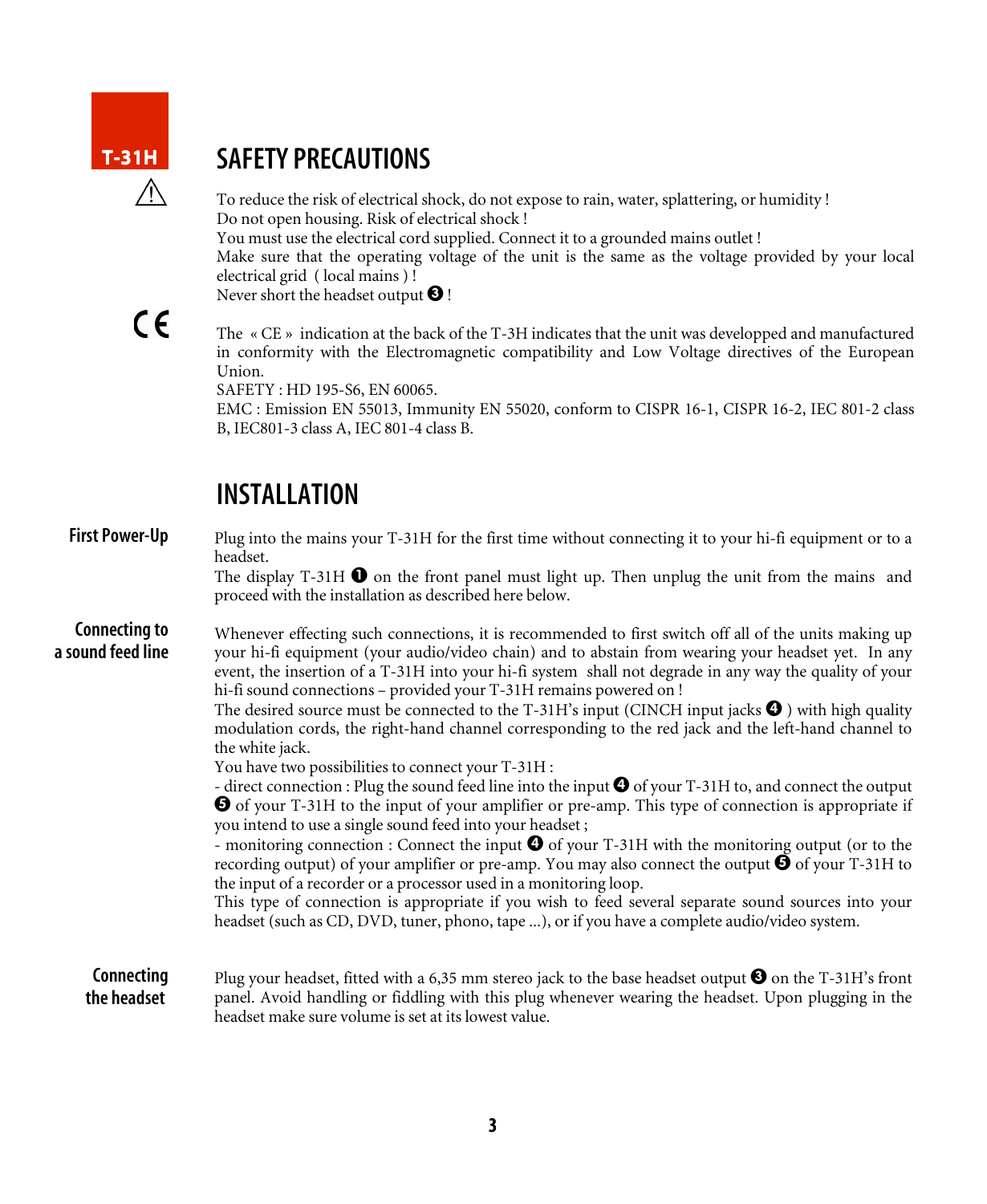

### SAFETY PRECAUTIONS

To reduce the risk of electrical shock, do not expose to rain, water, splattering, or humidity ! Do not open housing. Risk of electrical shock ! You must use the electrical cord supplied. Connect it to a grounded mains outlet ! Make sure that the operating voltage of the unit is the same as the voltage provided by your local electrical grid ( local mains ) ! Never short the headset output  $\bigcirc$  !

 $\epsilon$ 

The « CE » indication at the back of the T-3H indicates that the unit was developped and manufactured in conformity with the Electromagnetic compatibility and Low Voltage directives of the European Union.

SAFETY : HD 195-S6, EN 60065.

EMC : Emission EN 55013, Immunity EN 55020, conform to CISPR 16-1, CISPR 16-2, IEC 801-2 class B, IEC801-3 class A, IEC 801-4 class B.

### INSTALLATION

| <b>First Power-Up</b>              | Plug into the mains your T-31H for the first time without connecting it to your hi-fi equipment or to a<br>headset.<br>The display T-31H $\bullet$ on the front panel must light up. Then unplug the unit from the mains and<br>proceed with the installation as described here below.                                                                                                                                                                                                                                                                                                                                                                                                                                                                                                                                                                                                                                                                                                                                                                                                                                                                                                                                                                                                                                                                                                                                                                                                              |
|------------------------------------|-----------------------------------------------------------------------------------------------------------------------------------------------------------------------------------------------------------------------------------------------------------------------------------------------------------------------------------------------------------------------------------------------------------------------------------------------------------------------------------------------------------------------------------------------------------------------------------------------------------------------------------------------------------------------------------------------------------------------------------------------------------------------------------------------------------------------------------------------------------------------------------------------------------------------------------------------------------------------------------------------------------------------------------------------------------------------------------------------------------------------------------------------------------------------------------------------------------------------------------------------------------------------------------------------------------------------------------------------------------------------------------------------------------------------------------------------------------------------------------------------------|
| Connecting to<br>a sound feed line | Whenever effecting such connections, it is recommended to first switch off all of the units making up<br>your hi-fi equipment (your audio/video chain) and to abstain from wearing your headset yet. In any<br>event, the insertion of a T-31H into your hi-fi system shall not degrade in any way the quality of your<br>hi-fi sound connections - provided your T-31H remains powered on !<br>The desired source must be connected to the T-31H's input (CINCH input jacks $\bullet$ ) with high quality<br>modulation cords, the right-hand channel corresponding to the red jack and the left-hand channel to<br>the white jack.<br>You have two possibilities to connect your T-31H :<br>- direct connection : Plug the sound feed line into the input $\bullet$ of your T-31H to, and connect the output<br><b>O</b> of your T-31H to the input of your amplifier or pre-amp. This type of connection is appropriate if<br>you intend to use a single sound feed into your headset;<br>- monitoring connection : Connect the input $\bigcirc$ of your T-31H with the monitoring output (or to the<br>recording output) of your amplifier or pre-amp. You may also connect the output $\bigcirc$ of your T-31H to<br>the input of a recorder or a processor used in a monitoring loop.<br>This type of connection is appropriate if you wish to feed several separate sound sources into your<br>headset (such as CD, DVD, tuner, phono, tape ), or if you have a complete audio/video system. |
| Connecting<br>the headset          | Plug your headset, fitted with a 6,35 mm stereo jack to the base headset output $\bullet$ on the T-31H's front<br>panel. Avoid handling or fiddling with this plug whenever wearing the headset. Upon plugging in the<br>headset make sure volume is set at its lowest value.                                                                                                                                                                                                                                                                                                                                                                                                                                                                                                                                                                                                                                                                                                                                                                                                                                                                                                                                                                                                                                                                                                                                                                                                                       |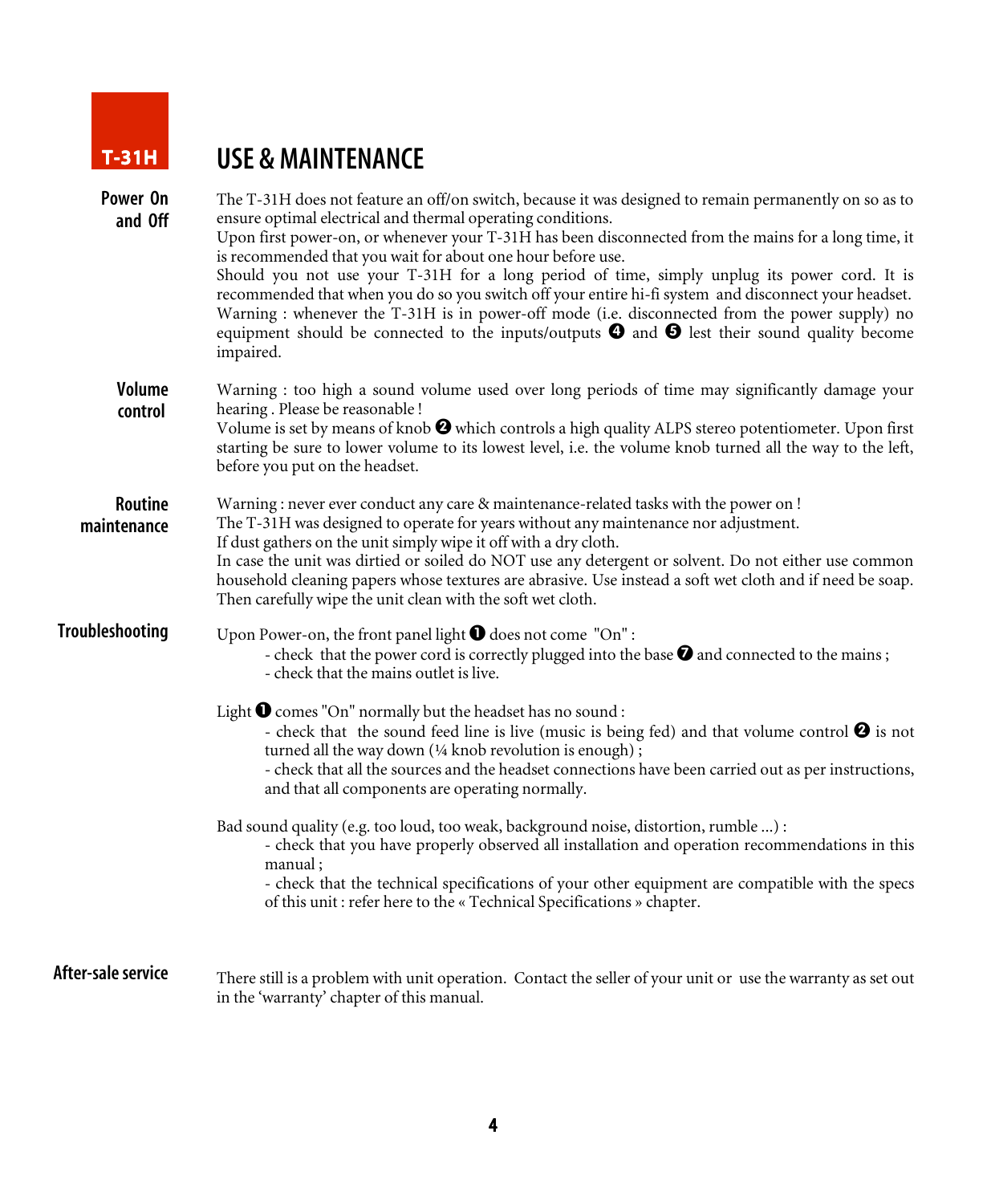

# USE & MAINTENANCE

| Power On<br>and Off      | The T-31H does not feature an off/on switch, because it was designed to remain permanently on so as to<br>ensure optimal electrical and thermal operating conditions.<br>Upon first power-on, or whenever your T-31H has been disconnected from the mains for a long time, it<br>is recommended that you wait for about one hour before use.<br>Should you not use your T-31H for a long period of time, simply unplug its power cord. It is<br>recommended that when you do so you switch off your entire hi-fi system and disconnect your headset.<br>Warning : whenever the T-31H is in power-off mode (i.e. disconnected from the power supply) no<br>equipment should be connected to the inputs/outputs $\bullet$ and $\bullet$ lest their sound quality become<br>impaired. |
|--------------------------|------------------------------------------------------------------------------------------------------------------------------------------------------------------------------------------------------------------------------------------------------------------------------------------------------------------------------------------------------------------------------------------------------------------------------------------------------------------------------------------------------------------------------------------------------------------------------------------------------------------------------------------------------------------------------------------------------------------------------------------------------------------------------------|
| <b>Volume</b><br>control | Warning : too high a sound volume used over long periods of time may significantly damage your<br>hearing. Please be reasonable!<br>Volume is set by means of knob $\bigcirc$ which controls a high quality ALPS stereo potentiometer. Upon first<br>starting be sure to lower volume to its lowest level, i.e. the volume knob turned all the way to the left,<br>before you put on the headset.                                                                                                                                                                                                                                                                                                                                                                                  |
| Routine<br>maintenance   | Warning : never ever conduct any care & maintenance-related tasks with the power on !<br>The T-31H was designed to operate for years without any maintenance nor adjustment.<br>If dust gathers on the unit simply wipe it off with a dry cloth.<br>In case the unit was dirtied or soiled do NOT use any detergent or solvent. Do not either use common<br>household cleaning papers whose textures are abrasive. Use instead a soft wet cloth and if need be soap.<br>Then carefully wipe the unit clean with the soft wet cloth.                                                                                                                                                                                                                                                |
| <b>Troubleshooting</b>   | Upon Power-on, the front panel light $\bigcirc$ does not come "On":<br>- check that the power cord is correctly plugged into the base $\bullet$ and connected to the mains;<br>- check that the mains outlet is live.                                                                                                                                                                                                                                                                                                                                                                                                                                                                                                                                                              |
|                          | Light $\bigcirc$ comes "On" normally but the headset has no sound :<br>- check that the sound feed line is live (music is being fed) and that volume control $\bullet$ is not<br>turned all the way down (1/4 knob revolution is enough);<br>- check that all the sources and the headset connections have been carried out as per instructions,<br>and that all components are operating normally.                                                                                                                                                                                                                                                                                                                                                                                |
|                          | Bad sound quality (e.g. too loud, too weak, background noise, distortion, rumble ) :<br>- check that you have properly observed all installation and operation recommendations in this<br>manual;<br>- check that the technical specifications of your other equipment are compatible with the specs<br>of this unit: refer here to the « Technical Specifications » chapter.                                                                                                                                                                                                                                                                                                                                                                                                      |
| After-sale service       | There still is a problem with unit operation. Contact the seller of your unit or use the warranty as set out<br>in the 'warranty' chapter of this manual.                                                                                                                                                                                                                                                                                                                                                                                                                                                                                                                                                                                                                          |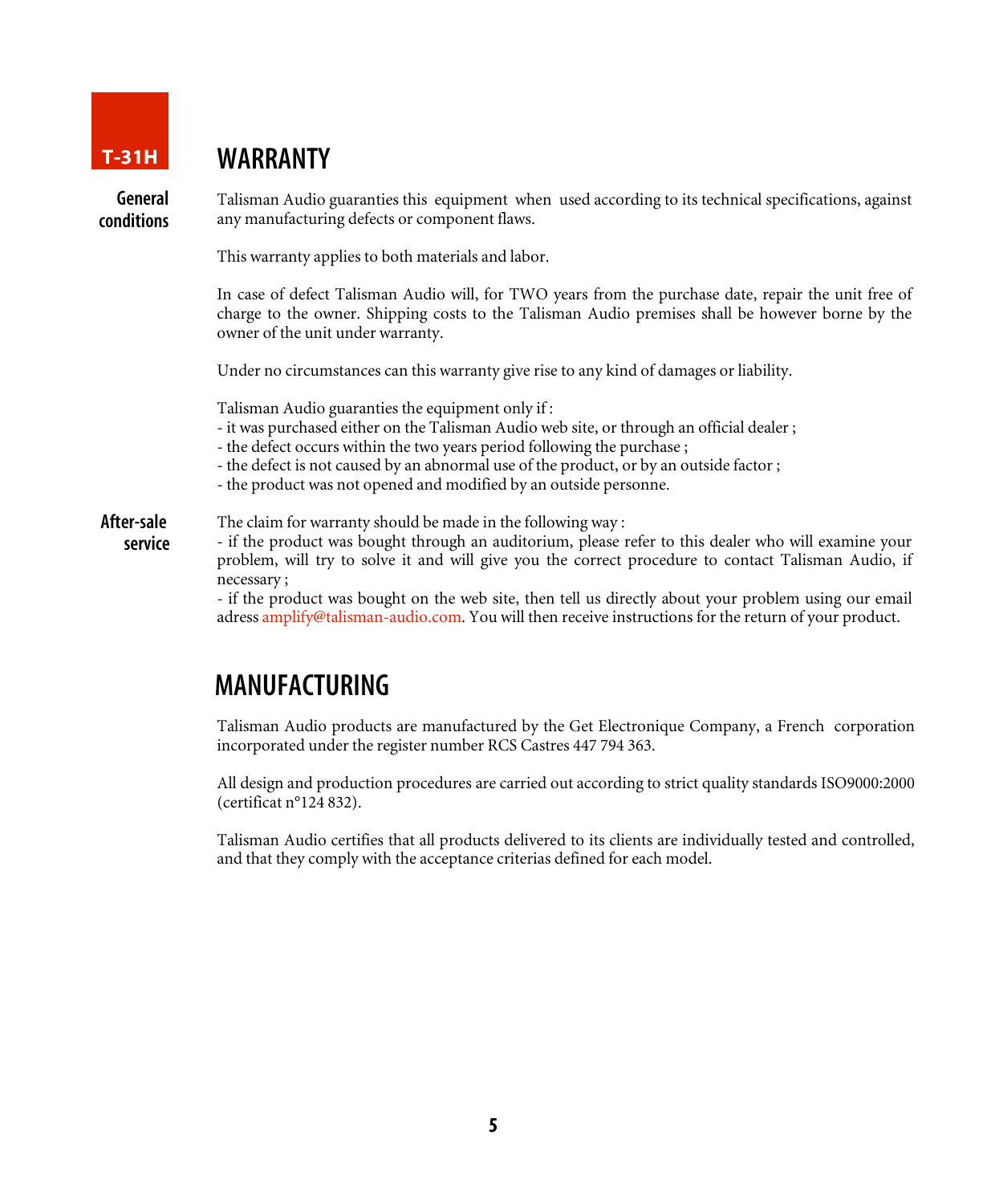

#### T-31H WARRANTY

General conditions Talisman Audio guaranties this equipment when used according to its technical specifications, against any manufacturing defects or component flaws.

This warranty applies to both materials and labor.

In case of defect Talisman Audio will, for TWO years from the purchase date, repair the unit free of charge to the owner. Shipping costs to the Talisman Audio premises shall be however borne by the owner of the unit under warranty.

Under no circumstances can this warranty give rise to any kind of damages or liability.

Talisman Audio guaranties the equipment only if :

- it was purchased either on the Talisman Audio web site, or through an official dealer ;
- the defect occurs within the two years period following the purchase ;
- the defect is not caused by an abnormal use of the product, or by an outside factor ;
- the product was not opened and modified by an outside personne.

The claim for warranty should be made in the following way : After-sale

- if the product was bought through an auditorium, please refer to this dealer who will examine your problem, will try to solve it and will give you the correct procedure to contact Talisman Audio, if necessary ; service

> - if the product was bought on the web site, then tell us directly about your problem using our email adress amplify@talisman-audio.com. You will then receive instructions for the return of your product.

#### MANUFACTURING

Talisman Audio products are manufactured by the Get Electronique Company, a French corporation incorporated under the register number RCS Castres 447 794 363.

All design and production procedures are carried out according to strict quality standards ISO9000:2000 (certificat n°124 832).

Talisman Audio certifies that all products delivered to its clients are individually tested and controlled, and that they comply with the acceptance criterias defined for each model.